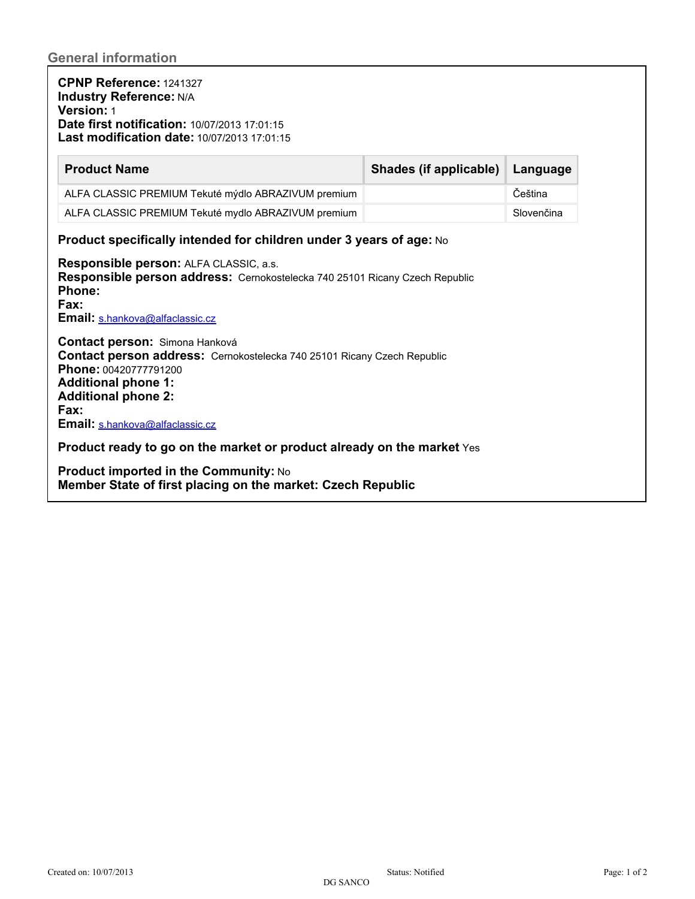**CPNP Reference:** 1241327 **Industry Reference:** N/A **Version:** 1 **Date first notification:** 10/07/2013 17:01:15 **Last modification date:** 10/07/2013 17:01:15

| <b>Product Name</b>                                 | Shades (if applicable) Language |            |
|-----------------------------------------------------|---------------------------------|------------|
| ALFA CLASSIC PREMIUM Tekuté mýdlo ABRAZIVUM premium |                                 | Čeština    |
| ALFA CLASSIC PREMIUM Tekuté mydlo ABRAZIVUM premium |                                 | Slovenčina |

## **Product specifically intended for children under 3 years of age:** No

**Responsible person:** ALFA CLASSIC, a.s. **Responsible person address:** Cernokostelecka 740 25101 Ricany Czech Republic **Phone: Fax:** Email: [s.hankova@alfaclassic.cz](mailto:s.hankova@alfaclassic.cz)

**Contact person:**  Simona Hanková **Contact person address:** Cernokostelecka 740 25101 Ricany Czech Republic **Phone:** 00420777791200 **Additional phone 1: Additional phone 2: Fax:** Email: [s.hankova@alfaclassic.cz](mailto:s.hankova@alfaclassic.cz)

**Product ready to go on the market or product already on the market** Yes

**Product imported in the Community:** No **Member State of first placing on the market: Czech Republic**